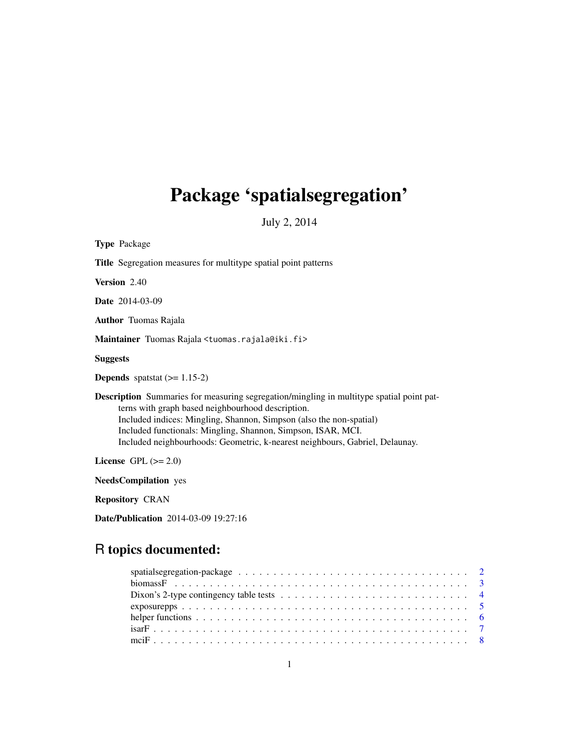# <span id="page-0-0"></span>Package 'spatialsegregation'

July 2, 2014

| <b>Type Package</b>                                                                                                                                                                                                                                                                                                                                                         |
|-----------------------------------------------------------------------------------------------------------------------------------------------------------------------------------------------------------------------------------------------------------------------------------------------------------------------------------------------------------------------------|
| <b>Title</b> Segregation measures for multitype spatial point patterns                                                                                                                                                                                                                                                                                                      |
| <b>Version</b> 2.40                                                                                                                                                                                                                                                                                                                                                         |
| <b>Date</b> 2014-03-09                                                                                                                                                                                                                                                                                                                                                      |
| <b>Author</b> Tuomas Rajala                                                                                                                                                                                                                                                                                                                                                 |
| Maintainer Tuomas Rajala <tuomas.rajala@iki.fi></tuomas.rajala@iki.fi>                                                                                                                                                                                                                                                                                                      |
| <b>Suggests</b>                                                                                                                                                                                                                                                                                                                                                             |
| <b>Depends</b> spatstat $(>= 1.15-2)$                                                                                                                                                                                                                                                                                                                                       |
| <b>Description</b> Summaries for measuring segregation/mingling in multitype spatial point pat-<br>terns with graph based neighbourhood description.<br>Included indices: Mingling, Shannon, Simpson (also the non-spatial)<br>Included functionals: Mingling, Shannon, Simpson, ISAR, MCI.<br>Included neighbourhoods: Geometric, k-nearest neighbours, Gabriel, Delaunay. |
| License GPL $(>= 2.0)$                                                                                                                                                                                                                                                                                                                                                      |
| <b>NeedsCompilation</b> yes                                                                                                                                                                                                                                                                                                                                                 |
| <b>Repository CRAN</b>                                                                                                                                                                                                                                                                                                                                                      |
| Date/Publication 2014-03-09 19:27:16                                                                                                                                                                                                                                                                                                                                        |

# R topics documented:

| Dixon's 2-type contingency table tests $\ldots \ldots \ldots \ldots \ldots \ldots \ldots \ldots \ldots \ldots$ |  |
|----------------------------------------------------------------------------------------------------------------|--|
|                                                                                                                |  |
|                                                                                                                |  |
|                                                                                                                |  |
|                                                                                                                |  |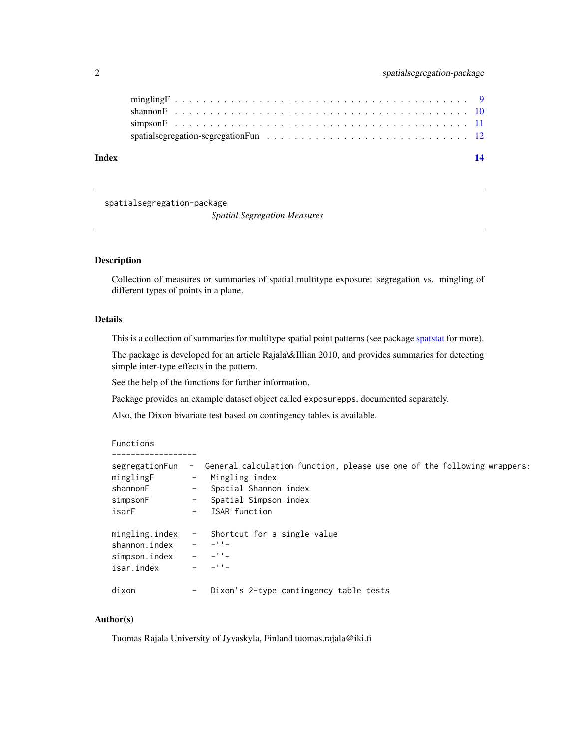<span id="page-1-0"></span>

| Index |  |
|-------|--|
|       |  |
|       |  |
|       |  |
|       |  |

spatialsegregation-package

*Spatial Segregation Measures*

# Description

Collection of measures or summaries of spatial multitype exposure: segregation vs. mingling of different types of points in a plane.

#### Details

This is a collection of summaries for multitype spatial point patterns (see package [spatstat](#page-0-0) for more).

The package is developed for an article Rajala\&Illian 2010, and provides summaries for detecting simple inter-type effects in the pattern.

See the help of the functions for further information.

Package provides an example dataset object called exposurepps, documented separately.

Also, the Dixon bivariate test based on contingency tables is available.

#### Functions

------------------

| segregationFun<br>minglingF<br>shannonF<br>simpsonF<br>isarF   | $ \sim$          | General calculation function, please use one of the following wrappers:<br>Mingling index<br>Spatial Shannon index<br>Spatial Simpson index<br>ISAR function |
|----------------------------------------------------------------|------------------|--------------------------------------------------------------------------------------------------------------------------------------------------------------|
| mingling.index<br>shannon.index<br>simpson.index<br>isar.index | $\sim$ 100 $\mu$ | Shortcut for a single value<br>$-11-$<br>$-11-$<br>$-11 -$                                                                                                   |
| dixon                                                          | -                | Dixon's 2-type contingency table tests                                                                                                                       |

# Author(s)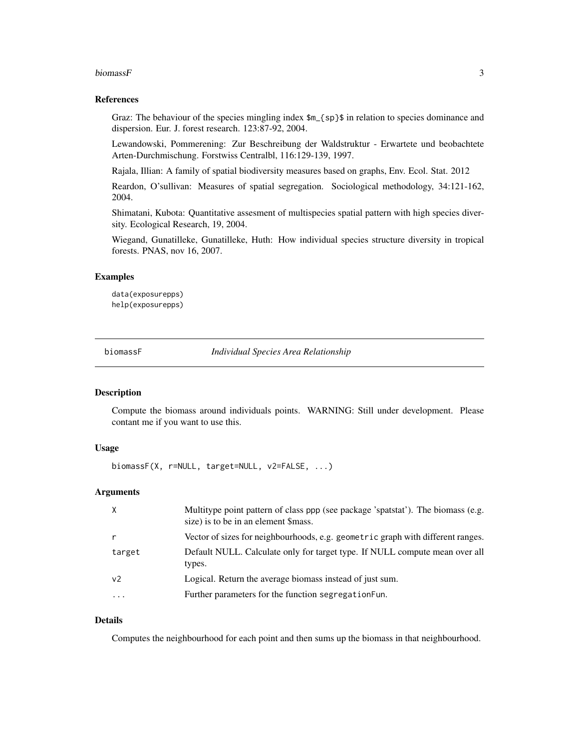#### <span id="page-2-0"></span>biomassF  $\sim$  3

#### References

Graz: The behaviour of the species mingling index \$m\_{sp}\$ in relation to species dominance and dispersion. Eur. J. forest research. 123:87-92, 2004.

Lewandowski, Pommerening: Zur Beschreibung der Waldstruktur - Erwartete und beobachtete Arten-Durchmischung. Forstwiss Centralbl, 116:129-139, 1997.

Rajala, Illian: A family of spatial biodiversity measures based on graphs, Env. Ecol. Stat. 2012

Reardon, O'sullivan: Measures of spatial segregation. Sociological methodology, 34:121-162, 2004.

Shimatani, Kubota: Quantitative assesment of multispecies spatial pattern with high species diversity. Ecological Research, 19, 2004.

Wiegand, Gunatilleke, Gunatilleke, Huth: How individual species structure diversity in tropical forests. PNAS, nov 16, 2007.

#### Examples

data(exposurepps) help(exposurepps)

biomassF *Individual Species Area Relationship*

#### Description

Compute the biomass around individuals points. WARNING: Still under development. Please contant me if you want to use this.

# Usage

biomassF(X, r=NULL, target=NULL, v2=FALSE, ...)

#### Arguments

| $\times$       | Multitype point pattern of class ppp (see package 'spatstat'). The biomass (e.g.<br>size) is to be in an element \$mass. |
|----------------|--------------------------------------------------------------------------------------------------------------------------|
|                | Vector of sizes for neighbourhoods, e.g. geometric graph with different ranges.                                          |
| target         | Default NULL. Calculate only for target type. If NULL compute mean over all<br>types.                                    |
| v <sub>2</sub> | Logical. Return the average biomass instead of just sum.                                                                 |
| .              | Further parameters for the function segregation Fun.                                                                     |
|                |                                                                                                                          |

#### Details

Computes the neighbourhood for each point and then sums up the biomass in that neighbourhood.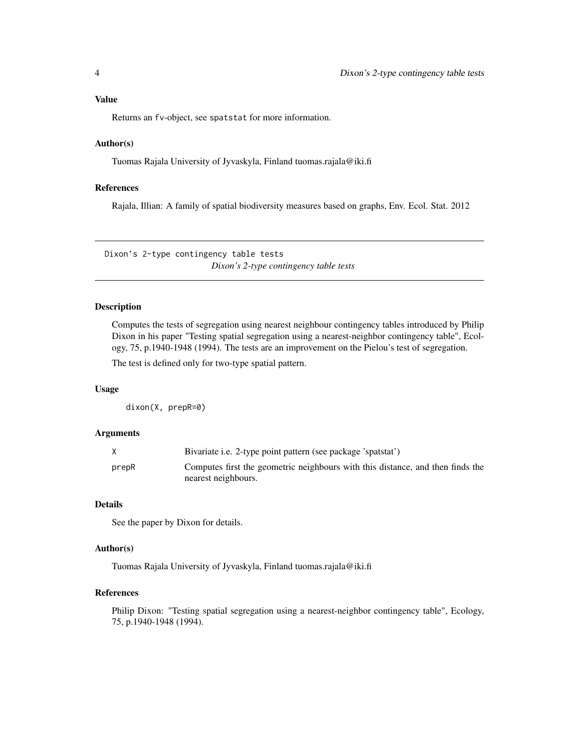# <span id="page-3-0"></span>Value

Returns an fv-object, see spatstat for more information.

#### Author(s)

Tuomas Rajala University of Jyvaskyla, Finland tuomas.rajala@iki.fi

# References

Rajala, Illian: A family of spatial biodiversity measures based on graphs, Env. Ecol. Stat. 2012

Dixon's 2-type contingency table tests *Dixon's 2-type contingency table tests*

### Description

Computes the tests of segregation using nearest neighbour contingency tables introduced by Philip Dixon in his paper "Testing spatial segregation using a nearest-neighbor contingency table", Ecology, 75, p.1940-1948 (1994). The tests are an improvement on the Pielou's test of segregation.

The test is defined only for two-type spatial pattern.

## Usage

dixon(X, prepR=0)

#### Arguments

|       | Bivariate i.e. 2-type point pattern (see package 'spatstat')                   |
|-------|--------------------------------------------------------------------------------|
| prepR | Computes first the geometric neighbours with this distance, and then finds the |
|       | nearest neighbours.                                                            |

# Details

See the paper by Dixon for details.

#### Author(s)

Tuomas Rajala University of Jyvaskyla, Finland tuomas.rajala@iki.fi

#### References

Philip Dixon: "Testing spatial segregation using a nearest-neighbor contingency table", Ecology, 75, p.1940-1948 (1994).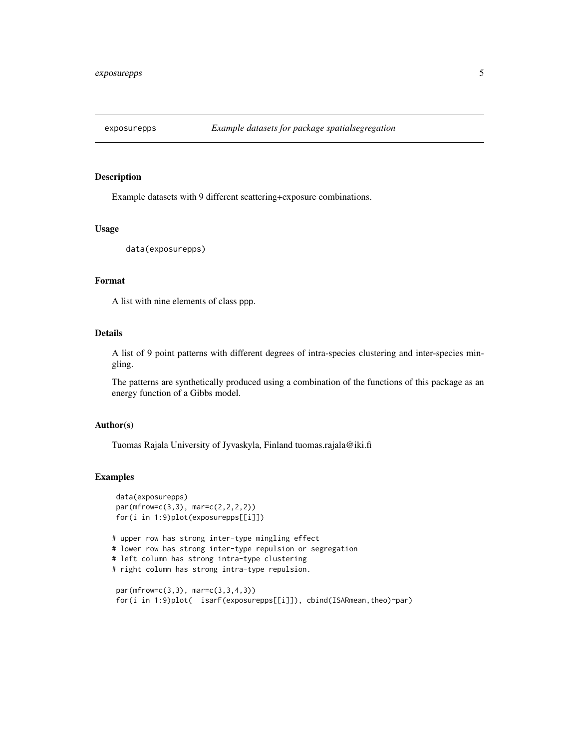<span id="page-4-0"></span>

Example datasets with 9 different scattering+exposure combinations.

# Usage

```
data(exposurepps)
```
# Format

A list with nine elements of class ppp.

### Details

A list of 9 point patterns with different degrees of intra-species clustering and inter-species mingling.

The patterns are synthetically produced using a combination of the functions of this package as an energy function of a Gibbs model.

#### Author(s)

Tuomas Rajala University of Jyvaskyla, Finland tuomas.rajala@iki.fi

#### Examples

```
data(exposurepps)
par(mfrow=c(3,3), mar=c(2,2,2,2))
for(i in 1:9)plot(exposurepps[[i]])
# upper row has strong inter-type mingling effect
# lower row has strong inter-type repulsion or segregation
# left column has strong intra-type clustering
# right column has strong intra-type repulsion.
par(mfrow=c(3,3), mar=c(3,3,4,3))
for(i in 1:9)plot( isarF(exposurepps[[i]]), cbind(ISARmean,theo)~par)
```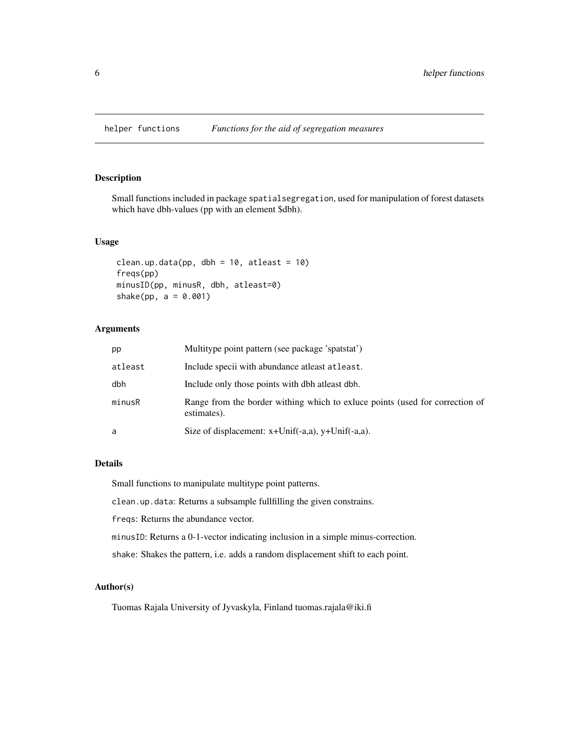<span id="page-5-0"></span>

Small functions included in package spatialsegregation, used for manipulation of forest datasets which have dbh-values (pp with an element \$dbh).

#### Usage

```
clean.up.data(pp, dbh = 10, atleast = 10)
freqs(pp)
minusID(pp, minusR, dbh, atleast=0)
shake(pp, a = 0.001)
```
# Arguments

| pp      | Multitype point pattern (see package 'spatstat')                                            |
|---------|---------------------------------------------------------------------------------------------|
| atleast | Include specii with abundance at least at least.                                            |
| dbh     | Include only those points with dbh at least dbh.                                            |
| minusR  | Range from the border withing which to exluce points (used for correction of<br>estimates). |
| a       | Size of displacement: $x+Unif(-a,a), y+Unif(-a,a)$ .                                        |

# Details

Small functions to manipulate multitype point patterns.

clean.up.data: Returns a subsample fullfilling the given constrains.

freqs: Returns the abundance vector.

minusID: Returns a 0-1-vector indicating inclusion in a simple minus-correction.

shake: Shakes the pattern, i.e. adds a random displacement shift to each point.

### Author(s)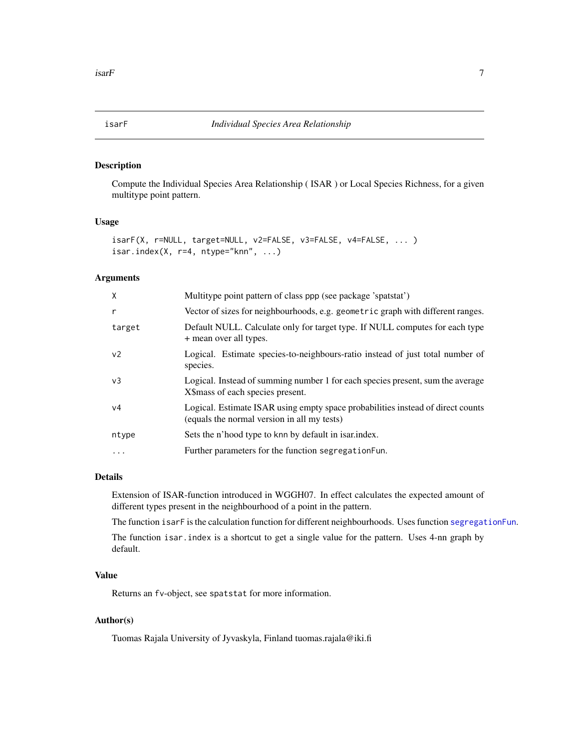<span id="page-6-0"></span>

Compute the Individual Species Area Relationship ( ISAR ) or Local Species Richness, for a given multitype point pattern.

#### Usage

```
isarF(X, r=NULL, target=NULL, v2=FALSE, v3=FALSE, v4=FALSE, ... )
isar.index(X, r=4, ntype="kmn", ...)
```
#### Arguments

| X              | Multitype point pattern of class ppp (see package 'spatstat')                                                                  |
|----------------|--------------------------------------------------------------------------------------------------------------------------------|
| r              | Vector of sizes for neighbourhoods, e.g. geometric graph with different ranges.                                                |
| target         | Default NULL. Calculate only for target type. If NULL computes for each type<br>+ mean over all types.                         |
| v <sub>2</sub> | Logical. Estimate species-to-neighbours-ratio instead of just total number of<br>species.                                      |
| v <sub>3</sub> | Logical. Instead of summing number 1 for each species present, sum the average<br>X\\$mass of each species present.            |
| v4             | Logical. Estimate ISAR using empty space probabilities instead of direct counts<br>(equals the normal version in all my tests) |
| ntype          | Sets the n'hood type to knn by default in isarindex.                                                                           |
| $\ddotsc$      | Further parameters for the function segregationFun.                                                                            |

#### Details

Extension of ISAR-function introduced in WGGH07. In effect calculates the expected amount of different types present in the neighbourhood of a point in the pattern.

The function isarF is the calculation function for different neighbourhoods. Uses function [segregationFun](#page-11-1).

The function isar.index is a shortcut to get a single value for the pattern. Uses 4-nn graph by default.

#### Value

Returns an fv-object, see spatstat for more information.

### Author(s)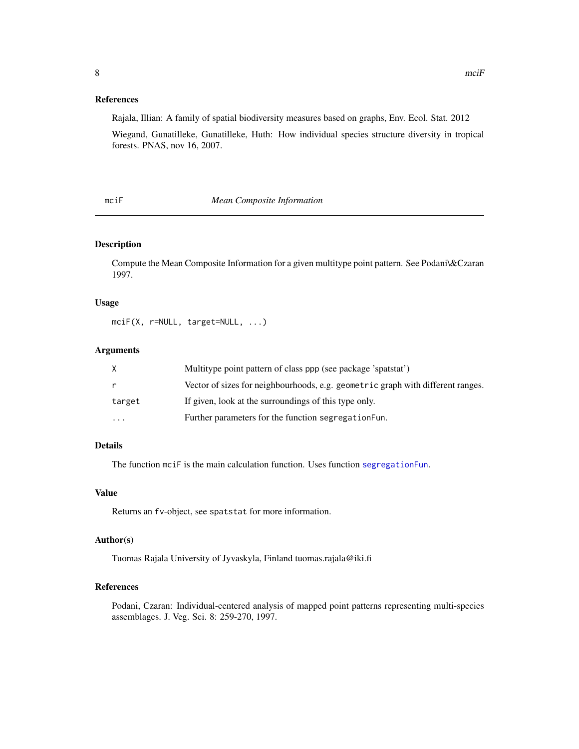# <span id="page-7-0"></span>References

Rajala, Illian: A family of spatial biodiversity measures based on graphs, Env. Ecol. Stat. 2012

Wiegand, Gunatilleke, Gunatilleke, Huth: How individual species structure diversity in tropical forests. PNAS, nov 16, 2007.

#### mciF *Mean Composite Information*

# Description

Compute the Mean Composite Information for a given multitype point pattern. See Podani\&Czaran 1997.

#### Usage

```
mciF(X, r=NULL, target=NULL, ...)
```
#### Arguments

|          | Multitype point pattern of class ppp (see package 'spatstat')                   |
|----------|---------------------------------------------------------------------------------|
| r        | Vector of sizes for neighbourhoods, e.g. geometric graph with different ranges. |
| target   | If given, look at the surroundings of this type only.                           |
| $\cdots$ | Further parameters for the function segregation Fun.                            |

# Details

The function mciF is the main calculation function. Uses function [segregationFun](#page-11-1).

### Value

Returns an fv-object, see spatstat for more information.

#### Author(s)

Tuomas Rajala University of Jyvaskyla, Finland tuomas.rajala@iki.fi

### References

Podani, Czaran: Individual-centered analysis of mapped point patterns representing multi-species assemblages. J. Veg. Sci. 8: 259-270, 1997.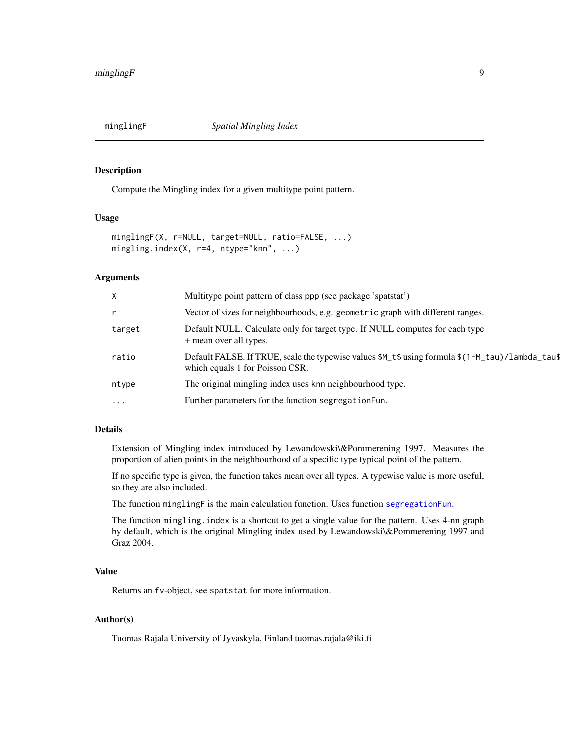<span id="page-8-0"></span>

Compute the Mingling index for a given multitype point pattern.

# Usage

```
minglingF(X, r=NULL, target=NULL, ratio=FALSE, ...)
mingling.index(X, r=4, ntype="knn", ...)
```
#### **Arguments**

| X        | Multitype point pattern of class ppp (see package 'spatstat')                                                                       |
|----------|-------------------------------------------------------------------------------------------------------------------------------------|
| r        | Vector of sizes for neighbourhoods, e.g. geometric graph with different ranges.                                                     |
| target   | Default NULL. Calculate only for target type. If NULL computes for each type<br>+ mean over all types.                              |
| ratio    | Default FALSE. If TRUE, scale the typewise values \$M_t\$ using formula \$(1-M_tau)/lambda_tau\$<br>which equals 1 for Poisson CSR. |
| ntype    | The original mingling index uses knn neighbourhood type.                                                                            |
| $\ddots$ | Further parameters for the function segregation Fun.                                                                                |

#### Details

Extension of Mingling index introduced by Lewandowski\&Pommerening 1997. Measures the proportion of alien points in the neighbourhood of a specific type typical point of the pattern.

If no specific type is given, the function takes mean over all types. A typewise value is more useful, so they are also included.

The function minglingF is the main calculation function. Uses function [segregationFun](#page-11-1).

The function mingling.index is a shortcut to get a single value for the pattern. Uses 4-nn graph by default, which is the original Mingling index used by Lewandowski\&Pommerening 1997 and Graz 2004.

#### Value

Returns an fv-object, see spatstat for more information.

# Author(s)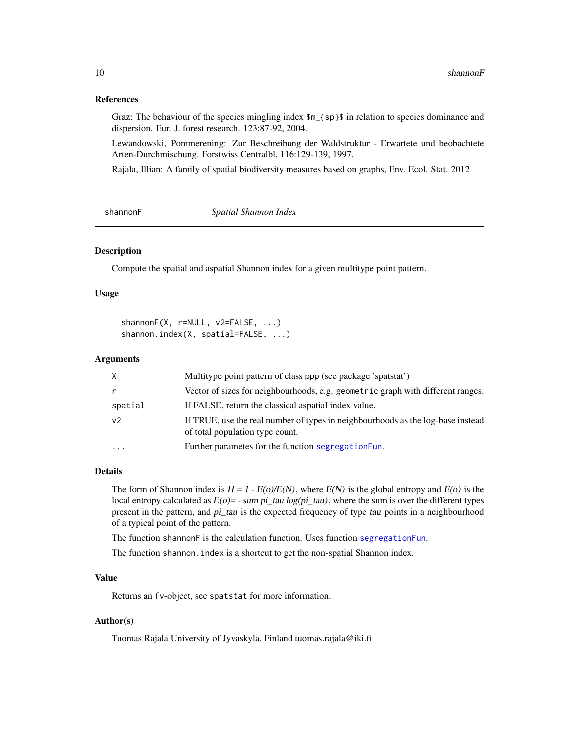#### References

Graz: The behaviour of the species mingling index  $m_{s}$  s in relation to species dominance and dispersion. Eur. J. forest research. 123:87-92, 2004.

Lewandowski, Pommerening: Zur Beschreibung der Waldstruktur - Erwartete und beobachtete Arten-Durchmischung. Forstwiss Centralbl, 116:129-139, 1997.

Rajala, Illian: A family of spatial biodiversity measures based on graphs, Env. Ecol. Stat. 2012

shannonF *Spatial Shannon Index*

#### Description

Compute the spatial and aspatial Shannon index for a given multitype point pattern.

#### Usage

shannonF(X, r=NULL, v2=FALSE, ...) shannon.index(X, spatial=FALSE, ...)

#### Arguments

| $\times$       | Multitype point pattern of class ppp (see package 'spatstat')                                                      |
|----------------|--------------------------------------------------------------------------------------------------------------------|
| $\mathsf{r}$   | Vector of sizes for neighbourhoods, e.g. geometric graph with different ranges.                                    |
| spatial        | If FALSE, return the classical aspatial index value.                                                               |
| v <sub>2</sub> | If TRUE, use the real number of types in neighbourhoods as the log-base instead<br>of total population type count. |
| .              | Further parametes for the function segregation Fun.                                                                |

#### Details

The form of Shannon index is  $H = 1 - E(o)/E(N)$ , where  $E(N)$  is the global entropy and  $E(o)$  is the local entropy calculated as  $E(o) = -sum\ p_i\_tau \log(p_i\_tau)$ , where the sum is over the different types present in the pattern, and pi\_tau is the expected frequency of type tau points in a neighbourhood of a typical point of the pattern.

The function shannonF is the calculation function. Uses function [segregationFun](#page-11-1).

The function shannon. index is a shortcut to get the non-spatial Shannon index.

#### Value

Returns an fv-object, see spatstat for more information.

#### Author(s)

<span id="page-9-0"></span>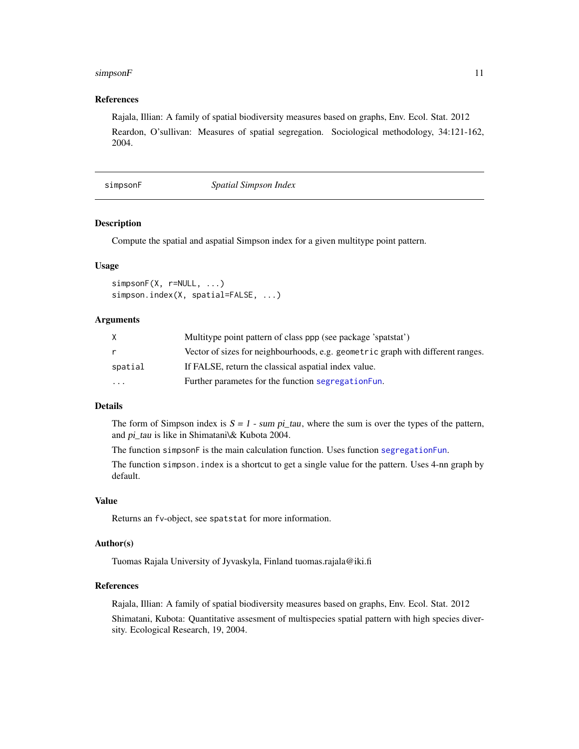#### <span id="page-10-0"></span> $simpsonF$  11

#### References

Rajala, Illian: A family of spatial biodiversity measures based on graphs, Env. Ecol. Stat. 2012 Reardon, O'sullivan: Measures of spatial segregation. Sociological methodology, 34:121-162, 2004.

simpsonF *Spatial Simpson Index*

# Description

Compute the spatial and aspatial Simpson index for a given multitype point pattern.

#### Usage

```
simpsonF(X, r=NULL, ...)
simpson.index(X, spatial=FALSE, ...)
```
#### Arguments

|          | Multitype point pattern of class ppp (see package 'spatstat')                   |
|----------|---------------------------------------------------------------------------------|
| r        | Vector of sizes for neighbourhoods, e.g. geometric graph with different ranges. |
| spatial  | If FALSE, return the classical aspatial index value.                            |
| $\cdots$ | Further parametes for the function segregation Fun.                             |

# Details

The form of Simpson index is  $S = 1$  - sum pi\_tau, where the sum is over the types of the pattern, and pi\_tau is like in Shimatani\& Kubota 2004.

The function simpsonF is the main calculation function. Uses function [segregationFun](#page-11-1).

The function simpson.index is a shortcut to get a single value for the pattern. Uses 4-nn graph by default.

#### Value

Returns an fv-object, see spatstat for more information.

#### Author(s)

Tuomas Rajala University of Jyvaskyla, Finland tuomas.rajala@iki.fi

#### References

Rajala, Illian: A family of spatial biodiversity measures based on graphs, Env. Ecol. Stat. 2012 Shimatani, Kubota: Quantitative assesment of multispecies spatial pattern with high species diversity. Ecological Research, 19, 2004.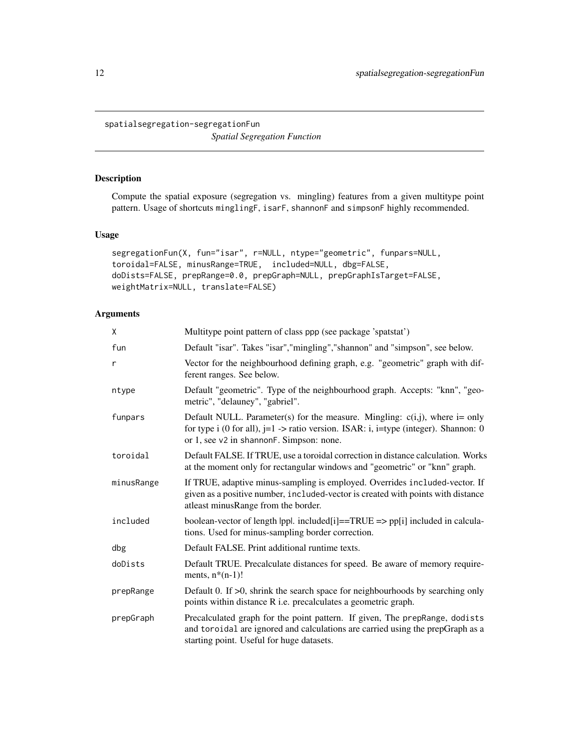<span id="page-11-0"></span>spatialsegregation-segregationFun *Spatial Segregation Function*

#### <span id="page-11-1"></span>Description

Compute the spatial exposure (segregation vs. mingling) features from a given multitype point pattern. Usage of shortcuts minglingF, isarF, shannonF and simpsonF highly recommended.

#### Usage

```
segregationFun(X, fun="isar", r=NULL, ntype="geometric", funpars=NULL,
toroidal=FALSE, minusRange=TRUE, included=NULL, dbg=FALSE,
doDists=FALSE, prepRange=0.0, prepGraph=NULL, prepGraphIsTarget=FALSE,
weightMatrix=NULL, translate=FALSE)
```
# Arguments

| X            | Multitype point pattern of class ppp (see package 'spatstat')                                                                                                                                                          |
|--------------|------------------------------------------------------------------------------------------------------------------------------------------------------------------------------------------------------------------------|
| fun          | Default "isar". Takes "isar", "mingling", "shannon" and "simpson", see below.                                                                                                                                          |
| $\mathsf{r}$ | Vector for the neighbourhood defining graph, e.g. "geometric" graph with dif-<br>ferent ranges. See below.                                                                                                             |
| ntype        | Default "geometric". Type of the neighbourhood graph. Accepts: "knn", "geo-<br>metric", "delauney", "gabriel".                                                                                                         |
| funpars      | Default NULL. Parameter(s) for the measure. Mingling: $c(i,j)$ , where i= only<br>for type i (0 for all), $j=1$ -> ratio version. ISAR: i, $i=$ type (integer). Shannon: 0<br>or 1, see v2 in shannonF. Simpson: none. |
| toroidal     | Default FALSE. If TRUE, use a toroidal correction in distance calculation. Works<br>at the moment only for rectangular windows and "geometric" or "knn" graph.                                                         |
| minusRange   | If TRUE, adaptive minus-sampling is employed. Overrides included-vector. If<br>given as a positive number, included-vector is created with points with distance<br>atleast minus Range from the border.                |
| included     | boolean-vector of length  pp . included[i]==TRUE => pp[i] included in calcula-<br>tions. Used for minus-sampling border correction.                                                                                    |
| dbg          | Default FALSE. Print additional runtime texts.                                                                                                                                                                         |
| doDists      | Default TRUE. Precalculate distances for speed. Be aware of memory require-<br>ments, $n*(n-1)!$                                                                                                                       |
| prepRange    | Default 0. If $>0$ , shrink the search space for neighbourhoods by searching only<br>points within distance R i.e. precalculates a geometric graph.                                                                    |
| prepGraph    | Precalculated graph for the point pattern. If given, The prepRange, dodists<br>and toroidal are ignored and calculations are carried using the prepGraph as a<br>starting point. Useful for huge datasets.             |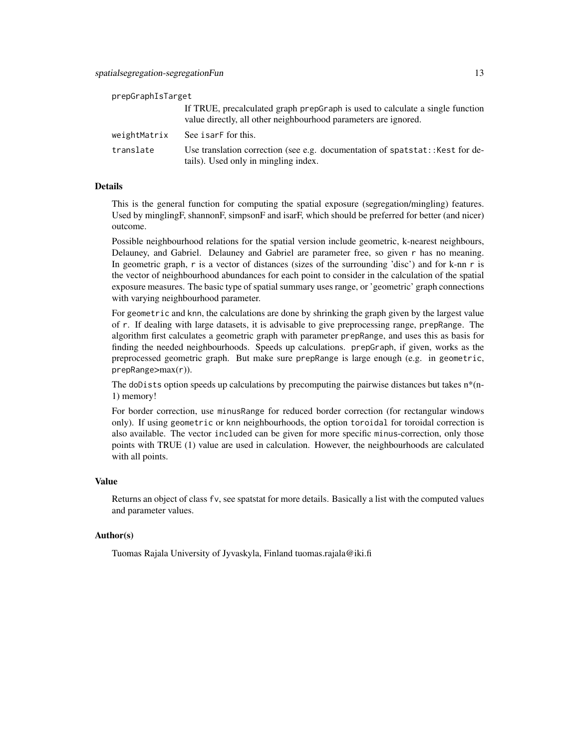| prepGraphIsTarget |                                                                                                                                                  |
|-------------------|--------------------------------------------------------------------------------------------------------------------------------------------------|
|                   | If TRUE, precalculated graph prepGraph is used to calculate a single function<br>value directly, all other neighbourhood parameters are ignored. |
| weightMatrix      | See isarf for this.                                                                                                                              |
| translate         | Use translation correction (see e.g. documentation of spatstat:: Kest for de-<br>tails). Used only in mingling index.                            |

#### Details

This is the general function for computing the spatial exposure (segregation/mingling) features. Used by minglingF, shannonF, simpsonF and isarF, which should be preferred for better (and nicer) outcome.

Possible neighbourhood relations for the spatial version include geometric, k-nearest neighbours, Delauney, and Gabriel. Delauney and Gabriel are parameter free, so given r has no meaning. In geometric graph, r is a vector of distances (sizes of the surrounding 'disc') and for k-nn r is the vector of neighbourhood abundances for each point to consider in the calculation of the spatial exposure measures. The basic type of spatial summary uses range, or 'geometric' graph connections with varying neighbourhood parameter.

For geometric and knn, the calculations are done by shrinking the graph given by the largest value of r. If dealing with large datasets, it is advisable to give preprocessing range, prepRange. The algorithm first calculates a geometric graph with parameter prepRange, and uses this as basis for finding the needed neighbourhoods. Speeds up calculations. prepGraph, if given, works as the preprocessed geometric graph. But make sure prepRange is large enough (e.g. in geometric, prepRange>max(r)).

The doDists option speeds up calculations by precomputing the pairwise distances but takes  $n^*(n-)$ 1) memory!

For border correction, use minusRange for reduced border correction (for rectangular windows only). If using geometric or knn neighbourhoods, the option toroidal for toroidal correction is also available. The vector included can be given for more specific minus-correction, only those points with TRUE (1) value are used in calculation. However, the neighbourhoods are calculated with all points.

#### Value

Returns an object of class fv, see spatstat for more details. Basically a list with the computed values and parameter values.

# Author(s)